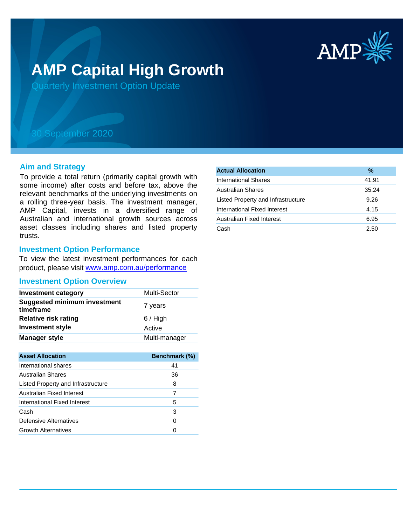

# **AMP Capital High Growth**

Quarterly Investment Option Update

# 30 September 2020

#### **Aim and Strategy**

To provide a total return (primarily capital growth with some income) after costs and before tax, above the relevant benchmarks of the underlying investments on a rolling three-year basis. The investment manager, AMP Capital, invests in a diversified range of Australian and international growth sources across asset classes including shares and listed property trusts.

### **Investment Option Performance**

To view the latest investment performances for each product, please visit www.amp.com.au/performance

# **Investment Option Overview**

| <b>Investment category</b>                       | Multi-Sector  |
|--------------------------------------------------|---------------|
| <b>Suggested minimum investment</b><br>timeframe | 7 years       |
| <b>Relative risk rating</b>                      | $6/$ High     |
| <b>Investment style</b>                          | Active        |
| <b>Manager style</b>                             | Multi-manager |

| <b>Asset Allocation</b>            | <b>Benchmark (%)</b> |
|------------------------------------|----------------------|
| International shares               | 41                   |
| Australian Shares                  | 36                   |
| Listed Property and Infrastructure | 8                    |
| Australian Fixed Interest          |                      |
| International Fixed Interest       | 5                    |
| Cash                               | 3                    |
| Defensive Alternatives             | 0                    |
| <b>Growth Alternatives</b>         |                      |

| <b>Actual Allocation</b>           | $\%$  |
|------------------------------------|-------|
| <b>International Shares</b>        | 41.91 |
| <b>Australian Shares</b>           | 35.24 |
| Listed Property and Infrastructure | 9.26  |
| International Fixed Interest       | 4.15  |
| Australian Fixed Interest          | 6.95  |
| Cash                               | 2.50  |
|                                    |       |